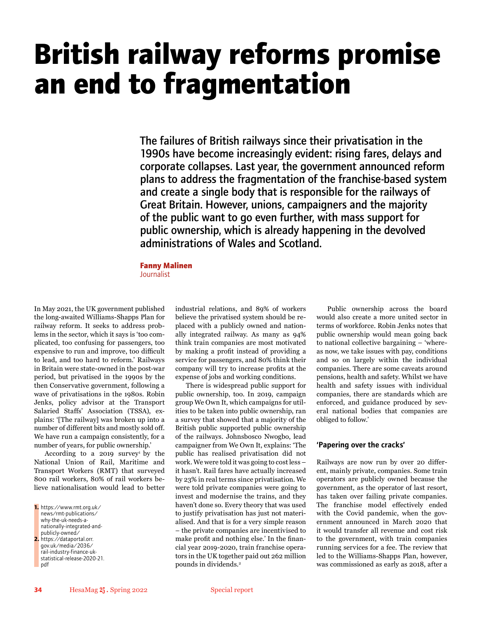# **British railway reforms promise an end to fragmentation**

The failures of British railways since their privatisation in the 1990s have become increasingly evident: rising fares, delays and corporate collapses. Last year, the government announced reform plans to address the fragmentation of the franchise-based system and create a single body that is responsible for the railways of Great Britain. However, unions, campaigners and the majority of the public want to go even further, with mass support for public ownership, which is already happening in the devolved administrations of Wales and Scotland.

### **Fanny Malinen**

Journalist

In May 2021, the UK government published the long-awaited Williams-Shapps Plan for railway reform. It seeks to address problems in the sector, which it says is 'too complicated, too confusing for passengers, too expensive to run and improve, too difficult to lead, and too hard to reform.' Railways in Britain were state-owned in the post-war period, but privatised in the 1990s by the then Conservative government, following a wave of privatisations in the 1980s. Robin Jenks, policy advisor at the Transport Salaried Staffs' Association (TSSA), explains: '[The railway] was broken up into a number of different bits and mostly sold off. We have run a campaign consistently, for a number of years, for public ownership.'

According to a  $2019$  survey<sup>1</sup> by the National Union of Rail, Maritime and Transport Workers (RMT) that surveyed 800 rail workers, 80% of rail workers believe nationalisation would lead to better

**1.** https://www.rmt.org.uk/ news/rmt-publications/ why-the-uk-needs-anationally-integrated-andpublicly-owned/ **2.** https://dataportal.orr. gov.uk/media/2036/ rail-industry-finance-ukstatistical-release-2020-21. pdf

industrial relations, and 89% of workers believe the privatised system should be replaced with a publicly owned and nationally integrated railway. As many as 94% think train companies are most motivated by making a profit instead of providing a service for passengers, and 80% think their company will try to increase profits at the expense of jobs and working conditions.

There is widespread public support for public ownership, too. In 2019, campaign group We Own It, which campaigns for utilities to be taken into public ownership, ran a survey that showed that a majority of the British public supported public ownership of the railways. Johnsbosco Nwogbo, lead campaigner from We Own It, explains: 'The public has realised privatisation did not work. We were told it was going to cost less – it hasn't. Rail fares have actually increased by 23% in real terms since privatisation. We were told private companies were going to invest and modernise the trains, and they haven't done so. Every theory that was used to justify privatisation has just not materialised. And that is for a very simple reason – the private companies are incentivised to make profit and nothing else.' In the financial year 2019-2020, train franchise operators in the UK together paid out 262 million pounds in dividends.<sup>2</sup>

Public ownership across the board would also create a more united sector in terms of workforce. Robin Jenks notes that public ownership would mean going back to national collective bargaining – 'whereas now, we take issues with pay, conditions and so on largely within the individual companies. There are some caveats around pensions, health and safety. Whilst we have health and safety issues with individual companies, there are standards which are enforced, and guidance produced by several national bodies that companies are obliged to follow.'

## 'Papering over the cracks'

Railways are now run by over 20 different, mainly private, companies. Some train operators are publicly owned because the government, as the operator of last resort, has taken over failing private companies. The franchise model effectively ended with the Covid pandemic, when the government announced in March 2020 that it would transfer all revenue and cost risk to the government, with train companies running services for a fee. The review that led to the Williams-Shapps Plan, however, was commissioned as early as 2018, after a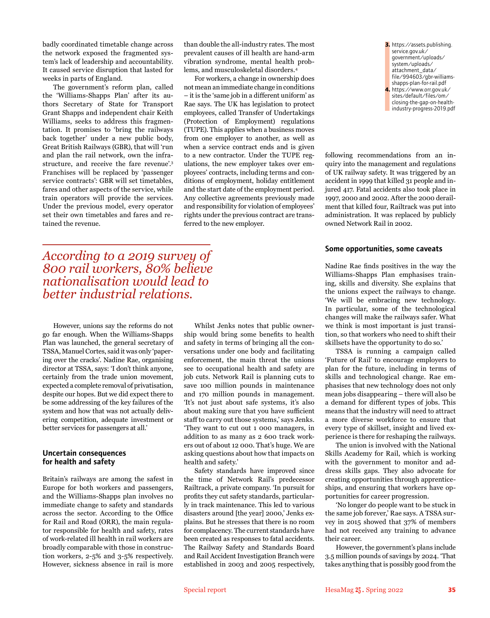badly coordinated timetable change across the network exposed the fragmented system's lack of leadership and accountability. It caused service disruption that lasted for weeks in parts of England.

The government's reform plan, called the 'Williams-Shapps Plan' after its authors Secretary of State for Transport Grant Shapps and independent chair Keith Williams, seeks to address this fragmentation. It promises to 'bring the railways back together' under a new public body, Great British Railways (GBR), that will 'run and plan the rail network, own the infrastructure, and receive the fare revenue'.3 Franchises will be replaced by 'passenger service contracts': GBR will set timetables, fares and other aspects of the service, while train operators will provide the services. Under the previous model, every operator set their own timetables and fares and retained the revenue.

# *According to a 2019 survey of 800 rail workers, 80% believe nationalisation would lead to better industrial relations.*

However, unions say the reforms do not go far enough. When the Williams-Shapps Plan was launched, the general secretary of TSSA, Manuel Cortes, said it was only 'papering over the cracks'. Nadine Rae, organising director at TSSA, says: 'I don't think anyone, certainly from the trade union movement, expected a complete removal of privatisation, despite our hopes. But we did expect there to be some addressing of the key failures of the system and how that was not actually delivering competition, adequate investment or better services for passengers at all.'

## Uncertain consequences for health and safety

Britain's railways are among the safest in Europe for both workers and passengers, and the Williams-Shapps plan involves no immediate change to safety and standards across the sector. According to the Office for Rail and Road (ORR), the main regulator responsible for health and safety, rates of work-related ill health in rail workers are broadly comparable with those in construction workers, 2-5% and 3-5% respectively. However, sickness absence in rail is more

Whilst Jenks notes that public ownership would bring some benefits to health and safety in terms of bringing all the conversations under one body and facilitating enforcement, the main threat the unions see to occupational health and safety are job cuts. Network Rail is planning cuts to save 100 million pounds in maintenance and 170 million pounds in management. 'It's not just about safe systems, it's also about making sure that you have sufficient staff to carry out those systems,' says Jenks. 'They want to cut out 1 000 managers, in addition to as many as 2 600 track workers out of about 12 000. That's huge. We are asking questions about how that impacts on health and safety.'

than double the all-industry rates. The most prevalent causes of ill health are hand-arm vibration syndrome, mental health problems, and musculoskeletal disorders.4

For workers, a change in ownership does not mean an immediate change in conditions – it is the 'same job in a different uniform' as Rae says. The UK has legislation to protect employees, called Transfer of Undertakings (Protection of Employment) regulations (TUPE). This applies when a business moves from one employer to another, as well as when a service contract ends and is given to a new contractor. Under the TUPE regulations, the new employer takes over employees' contracts, including terms and conditions of employment, holiday entitlement and the start date of the employment period. Any collective agreements previously made and responsibility for violation of employees' rights under the previous contract are trans-

ferred to the new employer.

Safety standards have improved since the time of Network Rail's predecessor Railtrack, a private company. 'In pursuit for profits they cut safety standards, particularly in track maintenance. This led to various disasters around [the year] 2000,' Jenks explains. But he stresses that there is no room for complacency. The current standards have been created as responses to fatal accidents. The Railway Safety and Standards Board and Rail Accident Investigation Branch were established in 2003 and 2005 respectively,

**3.** https://assets.publishing. service.gov.uk/ government/uploads/ system/uploads/ attachment\_data/ file/994603/gbr-williamsshapps-plan-for-rail.pdf **4.** https://www.orr.gov.uk/ sites/default/files/om/ closing-the-gap-on-healthindustry-progress-2019.pdf

following recommendations from an inquiry into the management and regulations of UK railway safety. It was triggered by an accident in 1999 that killed 31 people and injured 417. Fatal accidents also took place in 1997, 2000 and 2002. After the 2000 derailment that killed four, Railtrack was put into administration. It was replaced by publicly owned Network Rail in 2002.

#### Some opportunities, some caveats

Nadine Rae finds positives in the way the Williams-Shapps Plan emphasises training, skills and diversity. She explains that the unions expect the railways to change. 'We will be embracing new technology. In particular, some of the technological changes will make the railways safer. What we think is most important is just transition, so that workers who need to shift their skillsets have the opportunity to do so.'

TSSA is running a campaign called 'Future of Rail' to encourage employers to plan for the future, including in terms of skills and technological change. Rae emphasises that new technology does not only mean jobs disappearing – there will also be a demand for different types of jobs. This means that the industry will need to attract a more diverse workforce to ensure that every type of skillset, insight and lived experience is there for reshaping the railways.

The union is involved with the National Skills Academy for Rail, which is working with the government to monitor and address skills gaps. They also advocate for creating opportunities through apprenticeships, and ensuring that workers have opportunities for career progression.

'No longer do people want to be stuck in the same job forever,' Rae says. A TSSA survey in 2015 showed that 37% of members had not received any training to advance their career.

However, the government's plans include 3.5 million pounds of savings by 2024. 'That takes anything that is possibly good from the